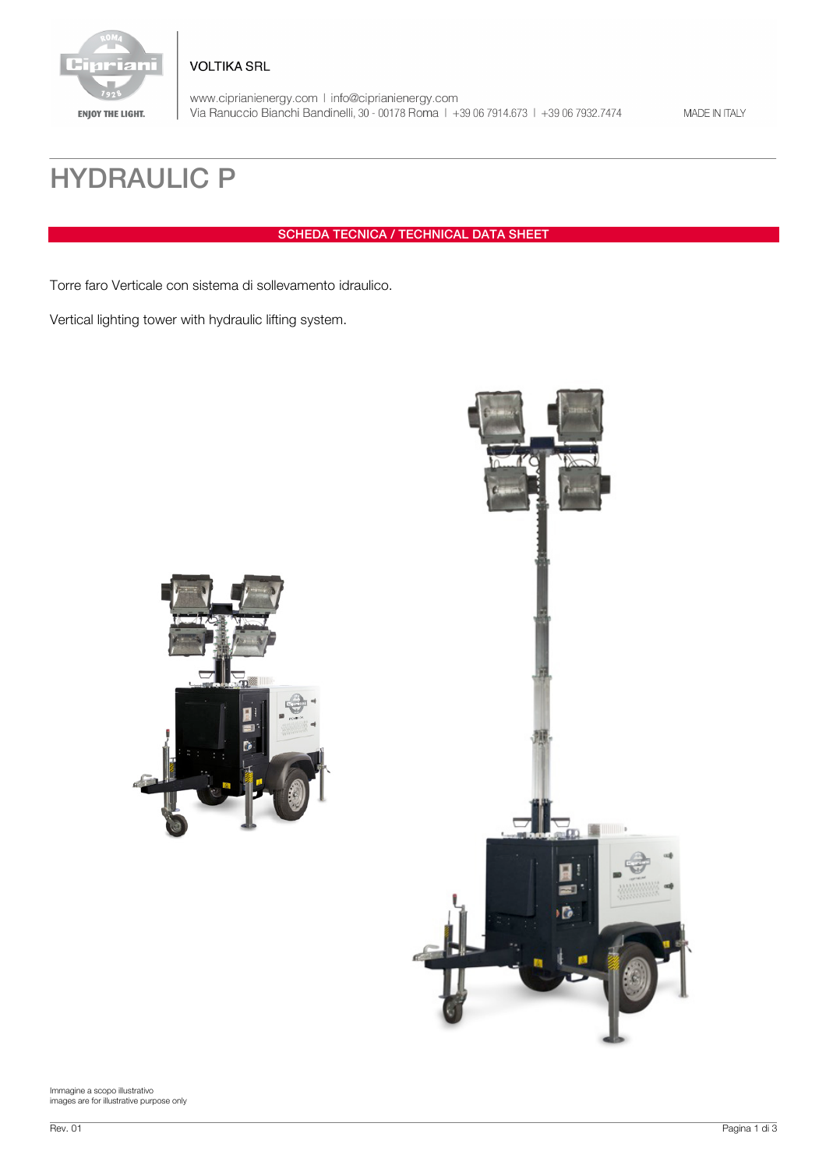

www.ciprianienergy.com | info@ciprianienergy.com<br>Via Ranuccio Bianchi Bandinelli, 30 - 00178 Roma | +39 06 7914.673 | +39 06 7932.7474

MADE IN ITALY

## HYDRAULIC P

SCHEDA TECNICA / TECHNICAL DATA SHEET

Torre faro Verticale con sistema di sollevamento idraulico.

**VOLTIKA SRL** 

Vertical lighting tower with hydraulic lifting system.



Immagine a scopo illustrativo images are for illustrative purpose only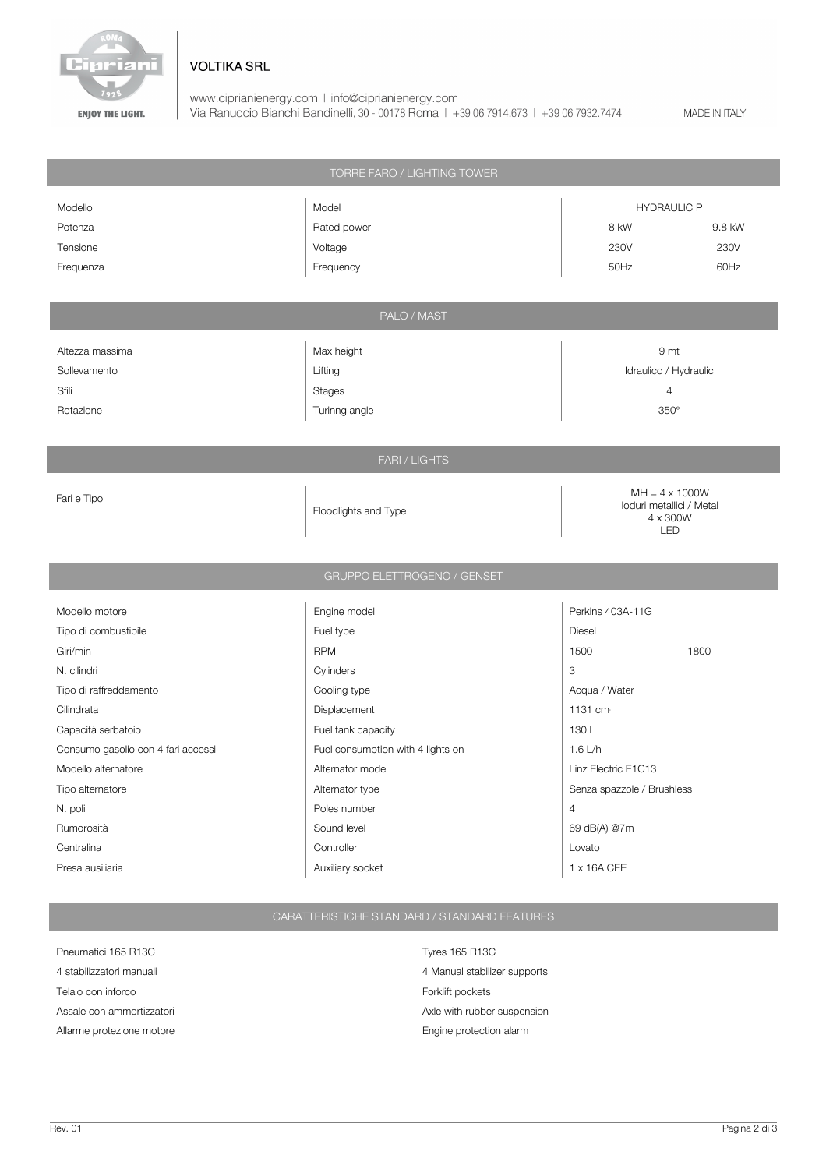![](_page_1_Picture_0.jpeg)

## **VOLTIKA SRL**

www.ciprianienergy.com | info@ciprianienergy.com<br>Via Ranuccio Bianchi Bandinelli, 30 - 00178 Roma | +39 06 7914.673 | +39 06 7932.7474

MADE IN ITALY

| TORRE FARO / LIGHTING TOWER        |                                   |                                                               |      |
|------------------------------------|-----------------------------------|---------------------------------------------------------------|------|
| Modello                            | Model                             | <b>HYDRAULIC P</b>                                            |      |
| Potenza                            | Rated power                       | 8 kW<br>9.8 kW                                                |      |
| Tensione                           | Voltage                           | 230V                                                          | 230V |
| Frequenza                          | Frequency                         | 50Hz                                                          | 60Hz |
|                                    |                                   |                                                               |      |
| PALO / MAST                        |                                   |                                                               |      |
|                                    |                                   |                                                               |      |
| Altezza massima                    | Max height                        | 9 mt                                                          |      |
| Sollevamento                       | Lifting                           | Idraulico / Hydraulic                                         |      |
| Sfili                              | <b>Stages</b>                     | $\overline{4}$                                                |      |
| Rotazione                          | Turinng angle                     | $350^\circ$                                                   |      |
|                                    |                                   |                                                               |      |
| FARI / LIGHTS                      |                                   |                                                               |      |
|                                    |                                   |                                                               |      |
| Fari e Tipo                        |                                   | $MH = 4 \times 1000W$<br>loduri metallici / Metal<br>4 x 300W |      |
|                                    | Floodlights and Type              |                                                               |      |
|                                    |                                   | <b>LED</b>                                                    |      |
|                                    |                                   |                                                               |      |
| GRUPPO ELETTROGENO / GENSET        |                                   |                                                               |      |
| Modello motore                     | Engine model                      | Perkins 403A-11G                                              |      |
| Tipo di combustibile               | Fuel type                         | Diesel                                                        |      |
| Giri/min                           | <b>RPM</b>                        | 1500                                                          | 1800 |
| N. cilindri                        | Cylinders                         | 3                                                             |      |
| Tipo di raffreddamento             | Cooling type                      | Acqua / Water                                                 |      |
| Cilindrata                         | Displacement                      | 1131 cm                                                       |      |
| Capacità serbatoio                 | Fuel tank capacity                | 130L                                                          |      |
| Consumo gasolio con 4 fari accessi | Fuel consumption with 4 lights on | 1.6 L/h                                                       |      |
| Modello alternatore                | Alternator model                  | Linz Electric E1C13                                           |      |
| Tipo alternatore                   | Alternator type                   | Senza spazzole / Brushless                                    |      |
| N. poli                            | Poles number                      | $\overline{4}$                                                |      |
| Rumorosità                         | Sound level                       | 69 dB(A) @7m                                                  |      |
| Centralina                         | Controller                        | Lovato                                                        |      |
| Presa ausiliaria                   | Auxiliary socket                  | 1 x 16A CEE                                                   |      |

## CARATTERISTICHE STANDARD / STANDARD FEATURES

Pneumatici 165 R13C Tyres 165 R13C Telaio con inforco **Forklift** pockets

4 stabilizzatori manuali **4 Manual stabilizer supports** Assale con ammortizzatori and a structure and axis and axis and axis and axis and Axle with rubber suspension Allarme protezione motore entre entre entre entre entre entre entre entre entre entre entre entre entre entre e